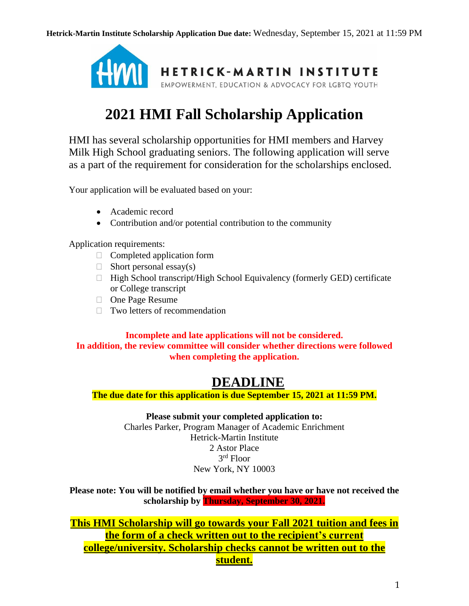

# **2021 HMI Fall Scholarship Application**

HMI has several scholarship opportunities for HMI members and Harvey Milk High School graduating seniors. The following application will serve as a part of the requirement for consideration for the scholarships enclosed.

Your application will be evaluated based on your:

- Academic record
- Contribution and/or potential contribution to the community

Application requirements:

- $\Box$  Completed application form
- $\Box$  Short personal essay(s)
- $\Box$  High School transcript/High School Equivalency (formerly GED) certificate or College transcript
- □ One Page Resume
- $\Box$  Two letters of recommendation

## **Incomplete and late applications will not be considered. In addition, the review committee will consider whether directions were followed when completing the application.**

## **DEADLINE**

**The due date for this application is due September 15, 2021 at 11:59 PM.**

**Please submit your completed application to:** Charles Parker, Program Manager of Academic Enrichment Hetrick-Martin Institute 2 Astor Place 3 rd Floor New York, NY 10003

**Please note: You will be notified by email whether you have or have not received the scholarship by Thursday, September 30, 2021.**

**This HMI Scholarship will go towards your Fall 2021 tuition and fees in the form of a check written out to the recipient's current college/university. Scholarship checks cannot be written out to the student.**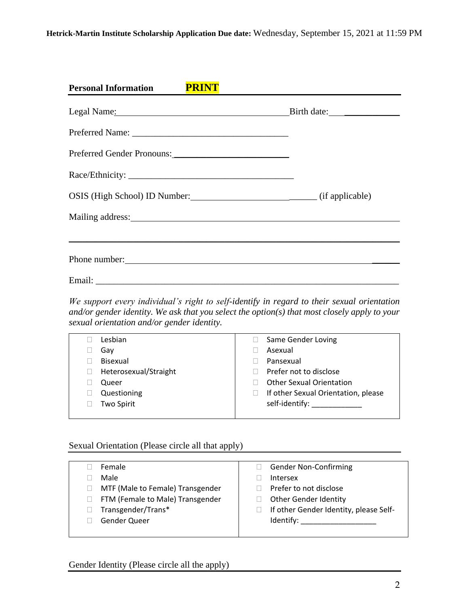| <b>Personal Information</b><br><b>PRINT</b>                                                                                                                                                                                         |  |
|-------------------------------------------------------------------------------------------------------------------------------------------------------------------------------------------------------------------------------------|--|
| Legal Name: Name: Name and Solid Name and Solid Name and Solid Name and Solid Name and Solid Name and Solid Na                                                                                                                      |  |
|                                                                                                                                                                                                                                     |  |
| Preferred Gender Pronouns:                                                                                                                                                                                                          |  |
|                                                                                                                                                                                                                                     |  |
| OSIS (High School) ID Number: (if applicable)                                                                                                                                                                                       |  |
| Mailing address: National Accounts and Accounts and Accounts and Accounts and Accounts and Accounts and Accounts and Accounts and Accounts and Accounts and Accounts and Accounts and Accounts and Accounts and Accounts and A      |  |
|                                                                                                                                                                                                                                     |  |
| Phone number: <u>contained</u> and the number of the number of the number of the number of the number of the number of the number of the number of the number of the number of the number of the number of the number of the number |  |
|                                                                                                                                                                                                                                     |  |

*We support every individual's right to self-identify in regard to their sexual orientation and/or gender identity. We ask that you select the option(s) that most closely apply to your sexual orientation and/or gender identity.*

| Lesbian               | Same Gender Loving                  |
|-----------------------|-------------------------------------|
| Gav                   | Asexual                             |
| Bisexual              | Pansexual                           |
| Heterosexual/Straight | Prefer not to disclose              |
| Queer                 | <b>Other Sexual Orientation</b>     |
| Questioning           | If other Sexual Orientation, please |
| <b>Two Spirit</b>     | self-identify: ___________          |
|                       |                                     |

## Sexual Orientation (Please circle all that apply)

| Female                           | <b>Gender Non-Confirming</b>           |
|----------------------------------|----------------------------------------|
| Male                             | <b>Intersex</b>                        |
| MTF (Male to Female) Transgender | Prefer to not disclose                 |
| FTM (Female to Male) Transgender | <b>Other Gender Identity</b>           |
| Transgender/Trans*               | If other Gender Identity, please Self- |
| Gender Queer                     | Identify:                              |
|                                  |                                        |
|                                  |                                        |

Gender Identity (Please circle all the apply)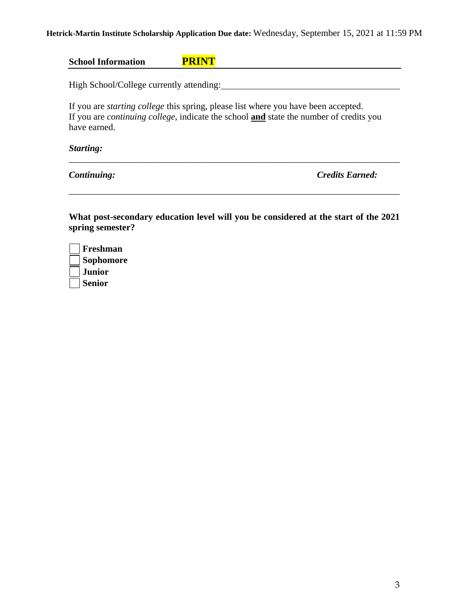## **Hetrick-Martin Institute Scholarship Application Due date:** Wednesday, September 15, 2021 at 11:59 PM

| <b>School Information</b>                |                                                                                                                                                                                                    |
|------------------------------------------|----------------------------------------------------------------------------------------------------------------------------------------------------------------------------------------------------|
| High School/College currently attending: |                                                                                                                                                                                                    |
| have earned.                             | If you are <i>starting college</i> this spring, please list where you have been accepted.<br>If you are <i>continuing college</i> , indicate the school <b>and</b> state the number of credits you |
| Starting:                                |                                                                                                                                                                                                    |

**What post-secondary education level will you be considered at the start of the 2021 spring semester?**

\_\_\_\_\_\_\_\_\_\_\_\_\_\_\_\_\_\_\_\_\_\_\_\_\_\_\_\_\_\_\_\_\_\_\_\_\_\_\_\_\_\_\_\_\_\_\_\_\_\_\_\_\_\_\_\_\_\_\_\_\_\_\_\_\_\_\_\_\_\_\_\_

*Continuing: Credits Earned:*

| Freshman         |
|------------------|
| <b>Sophomore</b> |
| <b>Junior</b>    |
| <b>Senior</b>    |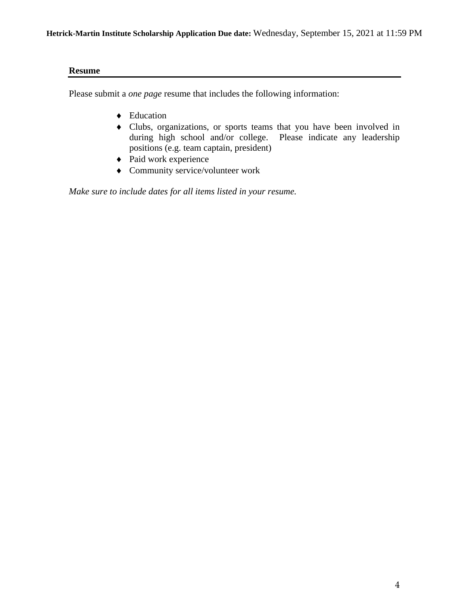#### **Resume**

Please submit a *one page* resume that includes the following information:

- ◆ Education
- Clubs, organizations, or sports teams that you have been involved in during high school and/or college. Please indicate any leadership positions (e.g. team captain, president)
- ◆ Paid work experience
- Community service/volunteer work

*Make sure to include dates for all items listed in your resume.*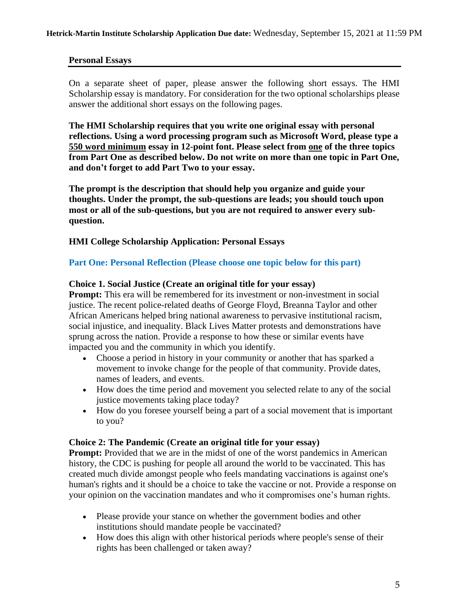## **Personal Essays**

On a separate sheet of paper, please answer the following short essays. The HMI Scholarship essay is mandatory. For consideration for the two optional scholarships please answer the additional short essays on the following pages.

**The HMI Scholarship requires that you write one original essay with personal reflections. Using a word processing program such as Microsoft Word, please type a 550 word minimum essay in 12-point font. Please select from one of the three topics from Part One as described below. Do not write on more than one topic in Part One, and don't forget to add Part Two to your essay.**

**The prompt is the description that should help you organize and guide your thoughts. Under the prompt, the sub-questions are leads; you should touch upon most or all of the sub-questions, but you are not required to answer every subquestion.**

**HMI College Scholarship Application: Personal Essays**

#### **Part One: Personal Reflection (Please choose one topic below for this part)**

#### **Choice 1. Social Justice (Create an original title for your essay)**

**Prompt:** This era will be remembered for its investment or non-investment in social justice. The recent police-related deaths of George Floyd, Breanna Taylor and other African Americans helped bring national awareness to pervasive institutional racism, social injustice, and inequality. Black Lives Matter protests and demonstrations have sprung across the nation. Provide a response to how these or similar events have impacted you and the community in which you identify.

- Choose a period in history in your community or another that has sparked a movement to invoke change for the people of that community. Provide dates, names of leaders, and events.
- How does the time period and movement you selected relate to any of the social justice movements taking place today?
- How do you foresee yourself being a part of a social movement that is important to you?

#### **Choice 2: The Pandemic (Create an original title for your essay)**

**Prompt:** Provided that we are in the midst of one of the worst pandemics in American history, the CDC is pushing for people all around the world to be vaccinated. This has created much divide amongst people who feels mandating vaccinations is against one's human's rights and it should be a choice to take the vaccine or not. Provide a response on your opinion on the vaccination mandates and who it compromises one's human rights.

- Please provide your stance on whether the government bodies and other institutions should mandate people be vaccinated?
- How does this align with other historical periods where people's sense of their rights has been challenged or taken away?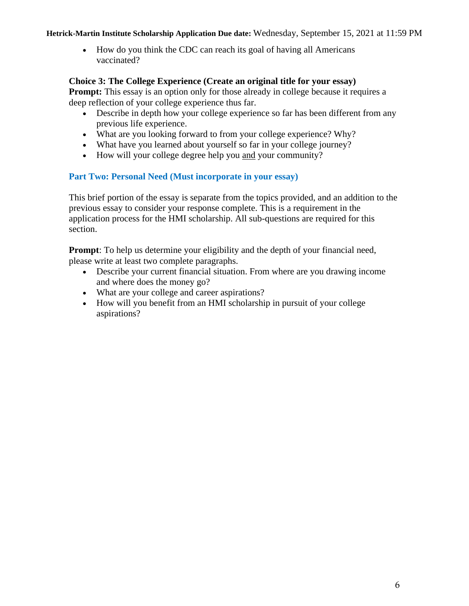• How do you think the CDC can reach its goal of having all Americans vaccinated?

## **Choice 3: The College Experience (Create an original title for your essay)**

**Prompt:** This essay is an option only for those already in college because it requires a deep reflection of your college experience thus far.

- Describe in depth how your college experience so far has been different from any previous life experience.
- What are you looking forward to from your college experience? Why?
- What have you learned about yourself so far in your college journey?
- How will your college degree help you and your community?

## **Part Two: Personal Need (Must incorporate in your essay)**

This brief portion of the essay is separate from the topics provided, and an addition to the previous essay to consider your response complete. This is a requirement in the application process for the HMI scholarship. All sub-questions are required for this section.

**Prompt:** To help us determine your eligibility and the depth of your financial need, please write at least two complete paragraphs.

- Describe your current financial situation. From where are you drawing income and where does the money go?
- What are your college and career aspirations?
- How will you benefit from an HMI scholarship in pursuit of your college aspirations?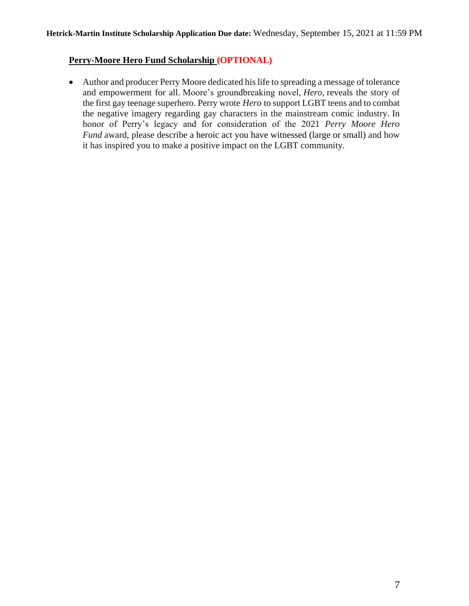## **Perry-Moore Hero Fund Scholarship (OPTIONAL)**

• Author and producer Perry Moore dedicated his life to spreading a message of tolerance and empowerment for all. Moore's groundbreaking novel, *Hero*, reveals the story of the first gay teenage superhero. Perry wrote *Hero* to support LGBT teens and to combat the negative imagery regarding gay characters in the mainstream comic industry. In honor of Perry's legacy and for consideration of the 2021 *Perry Moore Hero Fund* award, please describe a heroic act you have witnessed (large or small) and how it has inspired you to make a positive impact on the LGBT community.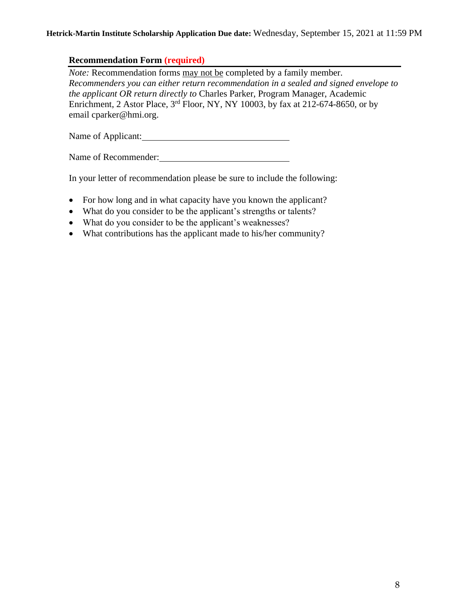## **Recommendation Form (required)**

*Note:* Recommendation forms may not be completed by a family member. *Recommenders you can either return recommendation in a sealed and signed envelope to the applicant OR return directly to* Charles Parker, Program Manager, Academic Enrichment, 2 Astor Place,  $3<sup>rd</sup>$  Floor, NY, NY 10003, by fax at 212-674-8650, or by email cparker@hmi.org.

Name of Applicant:

Name of Recommender:

In your letter of recommendation please be sure to include the following:

- For how long and in what capacity have you known the applicant?
- What do you consider to be the applicant's strengths or talents?
- What do you consider to be the applicant's weaknesses?
- What contributions has the applicant made to his/her community?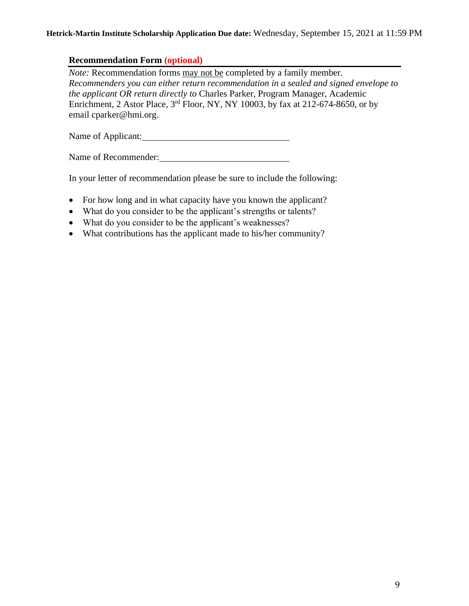## **Recommendation Form (optional)**

*Note:* Recommendation forms may not be completed by a family member. *Recommenders you can either return recommendation in a sealed and signed envelope to the applicant OR return directly to* Charles Parker, Program Manager, Academic Enrichment, 2 Astor Place, 3rd Floor, NY, NY 10003, by fax at 212-674-8650, or by email cparker@hmi.org.

Name of Applicant:

Name of Recommender:

In your letter of recommendation please be sure to include the following:

- For how long and in what capacity have you known the applicant?
- What do you consider to be the applicant's strengths or talents?
- What do you consider to be the applicant's weaknesses?
- What contributions has the applicant made to his/her community?